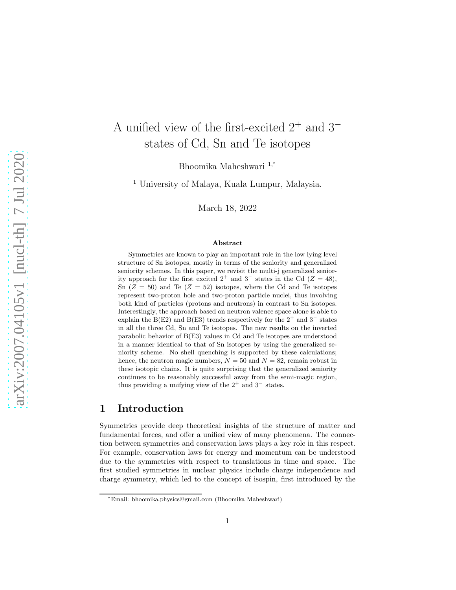# A unified view of the first-excited  $2^+$  and  $3^$ states of Cd, Sn and Te isotopes

Bhoomika Maheshwari 1,<sup>∗</sup>

<sup>1</sup> University of Malaya, Kuala Lumpur, Malaysia.

March 18, 2022

#### Abstract

Symmetries are known to play an important role in the low lying level structure of Sn isotopes, mostly in terms of the seniority and generalized seniority schemes. In this paper, we revisit the multi-j generalized seniority approach for the first excited  $2^+$  and  $3^-$  states in the Cd ( $Z = 48$ ), Sn  $(Z = 50)$  and Te  $(Z = 52)$  isotopes, where the Cd and Te isotopes represent two-proton hole and two-proton particle nuclei, thus involving both kind of particles (protons and neutrons) in contrast to Sn isotopes. Interestingly, the approach based on neutron valence space alone is able to explain the B(E2) and B(E3) trends respectively for the  $2^+$  and  $3^-$  states in all the three Cd, Sn and Te isotopes. The new results on the inverted parabolic behavior of B(E3) values in Cd and Te isotopes are understood in a manner identical to that of Sn isotopes by using the generalized seniority scheme. No shell quenching is supported by these calculations; hence, the neutron magic numbers,  $N = 50$  and  $N = 82$ , remain robust in these isotopic chains. It is quite surprising that the generalized seniority continues to be reasonably successful away from the semi-magic region, thus providing a unifying view of the  $2^+$  and  $3^-$  states.

#### 1 Introduction

Symmetries provide deep theoretical insights of the structure of matter and fundamental forces, and offer a unified view of many phenomena. The connection between symmetries and conservation laws plays a key role in this respect. For example, conservation laws for energy and momentum can be understood due to the symmetries with respect to translations in time and space. The first studied symmetries in nuclear physics include charge independence and charge symmetry, which led to the concept of isospin, first introduced by the

<sup>∗</sup>Email: bhoomika.physics@gmail.com (Bhoomika Maheshwari)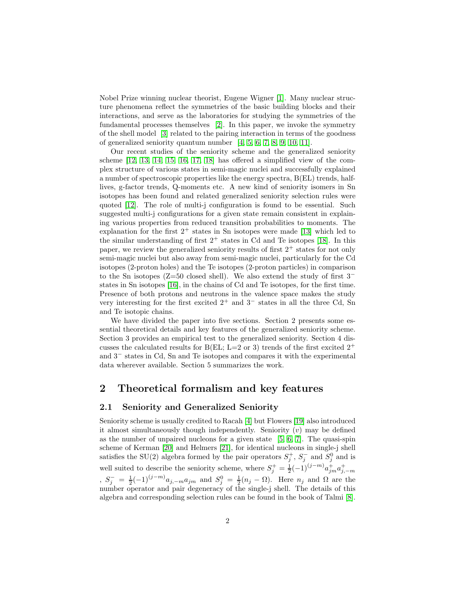Nobel Prize winning nuclear theorist, Eugene Wigner [\[1\]](#page-12-0). Many nuclear structure phenomena reflect the symmetries of the basic building blocks and their interactions, and serve as the laboratories for studying the symmetries of the fundamental processes themselves [\[2\]](#page-12-1). In this paper, we invoke the symmetry of the shell model [\[3\]](#page-12-2) related to the pairing interaction in terms of the goodness of generalized seniority quantum number [\[4,](#page-12-3) [5,](#page-13-0) [6,](#page-13-1) [7,](#page-13-2) [8,](#page-13-3) [9,](#page-13-4) [10,](#page-13-5) [11\]](#page-13-6).

Our recent studies of the seniority scheme and the generalized seniority scheme [\[12,](#page-13-7) [13,](#page-13-8) [14,](#page-13-9) [15,](#page-13-10) [16,](#page-13-11) [17,](#page-13-12) [18\]](#page-13-13) has offered a simplified view of the complex structure of various states in semi-magic nuclei and successfully explained a number of spectroscopic properties like the energy spectra, B(EL) trends, halflives, g-factor trends, Q-moments etc. A new kind of seniority isomers in Sn isotopes has been found and related generalized seniority selection rules were quoted [\[12\]](#page-13-7). The role of multi-j configuration is found to be essential. Such suggested multi-j configurations for a given state remain consistent in explaining various properties from reduced transition probabilities to moments. The explanation for the first  $2^+$  states in Sn isotopes were made [\[13\]](#page-13-8) which led to the similar understanding of first  $2^+$  states in Cd and Te isotopes [\[18\]](#page-13-13). In this paper, we review the generalized seniority results of first  $2^+$  states for not only semi-magic nuclei but also away from semi-magic nuclei, particularly for the Cd isotopes (2-proton holes) and the Te isotopes (2-proton particles) in comparison to the Sn isotopes ( $Z=50$  closed shell). We also extend the study of first 3<sup>−</sup> states in Sn isotopes [\[16\]](#page-13-11), in the chains of Cd and Te isotopes, for the first time. Presence of both protons and neutrons in the valence space makes the study very interesting for the first excited  $2^+$  and  $3^-$  states in all the three Cd, Sn and Te isotopic chains.

We have divided the paper into five sections. Section 2 presents some essential theoretical details and key features of the generalized seniority scheme. Section 3 provides an empirical test to the generalized seniority. Section 4 discusses the calculated results for B(EL; L=2 or 3) trends of the first excited  $2^+$ and 3<sup>−</sup> states in Cd, Sn and Te isotopes and compares it with the experimental data wherever available. Section 5 summarizes the work.

### 2 Theoretical formalism and key features

#### 2.1 Seniority and Generalized Seniority

Seniority scheme is usually credited to Racah [\[4\]](#page-12-3) but Flowers [\[19\]](#page-13-14) also introduced it almost simultaneously though independently. Seniority  $(v)$  may be defined as the number of unpaired nucleons for a given state  $[5, 6, 7]$  $[5, 6, 7]$  $[5, 6, 7]$ . The quasi-spin scheme of Kerman [\[20\]](#page-13-15) and Helmers [\[21\]](#page-13-16), for identical nucleons in single-j shell satisfies the SU(2) algebra formed by the pair operators  $S_j^+$ ,  $S_j^$  $j^{-}$  and  $S_j^0$  and is well suited to describe the seniority scheme, where  $S_j^+ = \frac{1}{2}(-1)^{(j-m)} a_{jm}^+ a_{j,-m}^+$  $S_j^-=\frac{1}{2}(-1)^{(j-m)}a_{j,-m}a_{jm}$  and  $S_j^0=\frac{1}{2}(n_j-\Omega)$ . Here  $n_j$  and  $\Omega$  are the number operator and pair degeneracy of the single-j shell. The details of this algebra and corresponding selection rules can be found in the book of Talmi [\[8\]](#page-13-3).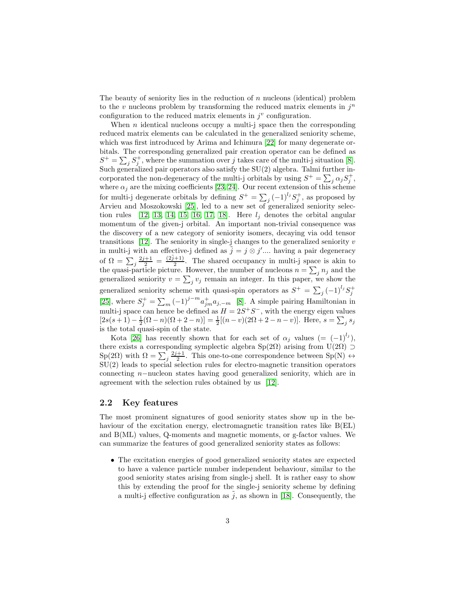The beauty of seniority lies in the reduction of  $n$  nucleons (identical) problem to the  $v$  nucleons problem by transforming the reduced matrix elements in  $j^n$ configuration to the reduced matrix elements in  $j^v$  configuration.

When  $n$  identical nucleons occupy a multi-j space then the corresponding reduced matrix elements can be calculated in the generalized seniority scheme, which was first introduced by Arima and Ichimura [\[22\]](#page-13-17) for many degenerate orbitals. The corresponding generalized pair creation operator can be defined as  $S^+ = \sum_j S_j^+$ , where the summation over j takes care of the multi-j situation [\[8\]](#page-13-3). Such generalized pair operators also satisfy the  $SU(2)$  algebra. Talmi further incorporated the non-degeneracy of the multi-j orbitals by using  $S^+ = \sum_j \alpha_j S_j^+$ , where  $\alpha_j$  are the mixing coefficients [\[23,](#page-13-18) [24\]](#page-13-19). Our recent extension of this scheme for multi-j degenerate orbitals by defining  $S^+ = \sum_j (-1)^{l_j} S^+_j$ , as proposed by Arvieu and Moszokowski [\[25\]](#page-13-20), led to a new set of generalized seniority selec-tion rules [\[12,](#page-13-7) [13,](#page-13-8) [14,](#page-13-9) [15,](#page-13-10) [16,](#page-13-11) [17,](#page-13-12) [18\]](#page-13-13). Here  $l_j$  denotes the orbital angular momentum of the given-j orbital. An important non-trivial consequence was the discovery of a new category of seniority isomers, decaying via odd tensor transitions  $[12]$ . The seniority in single-j changes to the generalized seniority v in multi-j with an effective-j defined as  $\tilde{j} = j \otimes j'$ .... having a pair degeneracy of  $\Omega = \sum_j \frac{2j+1}{2} = \frac{(2j+1)}{2}$  $\frac{1}{2}$ . The shared occupancy in multi-j space is akin to the quasi-particle picture. However, the number of nucleons  $n = \sum_j n_j$  and the generalized seniority  $v = \sum_j v_j$  remain an integer. In this paper, we show the generalized seniority scheme with quasi-spin operators as  $S^+ = \sum_j (-1)^{l_j} S_j^+$ [\[25\]](#page-13-20), where  $S_j^+ = \sum_m (-1)^{j-m} a_{jm}^+ a_{j,-m}$  [\[8\]](#page-13-3). A simple pairing Hamiltonian in multi-j space can hence be defined as  $H = 2S^+S^-$ , with the energy eigen values  $[2s(s+1)-\frac{1}{2}(\Omega-n)(\Omega+2-n)] = \frac{1}{2}[(n-v)(2\Omega+2-n-v)].$  Here,  $s = \sum_j s_j$ is the total quasi-spin of the state.

Kota [\[26\]](#page-13-21) has recently shown that for each set of  $\alpha_j$  values  $(= (-1)^{l_j})$ , there exists a corresponding symplectic algebra  $Sp(2\Omega)$  arising from  $U(2\Omega) \supset$  $\text{Sp}(2\Omega)$  with  $\Omega = \sum_j \frac{2j+1}{2}$ . This one-to-one correspondence between  $\text{Sp}(N) \leftrightarrow$ SU(2) leads to special selection rules for electro-magnetic transition operators connecting n−nucleon states having good generalized seniority, which are in agreement with the selection rules obtained by us [\[12\]](#page-13-7).

#### 2.2 Key features

The most prominent signatures of good seniority states show up in the behaviour of the excitation energy, electromagnetic transition rates like B(EL) and B(ML) values, Q-moments and magnetic moments, or g-factor values. We can summarize the features of good generalized seniority states as follows:

• The excitation energies of good generalized seniority states are expected to have a valence particle number independent behaviour, similar to the good seniority states arising from single-j shell. It is rather easy to show this by extending the proof for the single-j seniority scheme by defining a multi-j effective configuration as  $\tilde{j}$ , as shown in [\[18\]](#page-13-13). Consequently, the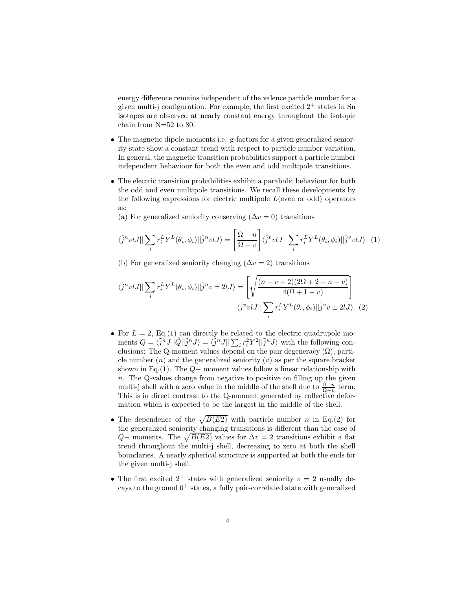energy difference remains independent of the valence particle number for a given multi-j configuration. For example, the first excited  $2^+$  states in Sn isotopes are observed at nearly constant energy throughout the isotopic chain from N=52 to 80.

- The magnetic dipole moments i.e. g-factors for a given generalized seniority state show a constant trend with respect to particle number variation. In general, the magnetic transition probabilities support a particle number independent behaviour for both the even and odd multipole transitions.
- The electric transition probabilities exhibit a parabolic behaviour for both the odd and even multipole transitions. We recall these developments by the following expressions for electric multipole  $L$ (even or odd) operators as:
	- (a) For generalized seniority conserving  $(\Delta v = 0)$  transitions

$$
\langle \tilde{j}^n v l J || \sum_i r_i^L Y^L(\theta_i, \phi_i) || \tilde{j}^n v l J \rangle = \left[ \frac{\Omega - n}{\Omega - v} \right] \langle \tilde{j}^v v l J || \sum_i r_i^L Y^L(\theta_i, \phi_i) || \tilde{j}^v v l J \rangle \tag{1}
$$

(b) For generalized seniority changing  $(\Delta v = 2)$  transitions

$$
\langle \tilde{j}^n v l J || \sum_i r_i^L Y^L(\theta_i, \phi_i) || \tilde{j}^n v \pm 2l J \rangle = \left[ \sqrt{\frac{(n - v + 2)(2\Omega + 2 - n - v)}{4(\Omega + 1 - v)}} \right]
$$

$$
\langle \tilde{j}^v v l J || \sum_i r_i^L Y^L(\theta_i, \phi_i) || \tilde{j}^v v \pm 2l J \rangle \tag{2}
$$

- For  $L = 2$ , Eq.(1) can directly be related to the electric quadrupole moments  $Q = \langle \tilde{j}^n J || \hat{Q} || \tilde{j}^n J \rangle = \langle \tilde{j}^n J || \sum_i r_i^2 Y^2 || \tilde{j}^n J \rangle$  with the following conclusions: The Q-moment values depend on the pair degeneracy  $(\Omega)$ , particle number  $(n)$  and the generalized seniority  $(v)$  as per the square bracket shown in Eq.(1). The  $Q-$  moment values follow a linear relationship with  $n.$  The Q-values change from negative to positive on filling up the given multi-j shell with a zero value in the middle of the shell due to  $\frac{\Omega - n}{\Omega - v}$  term. This is in direct contrast to the Q-moment generated by collective deformation which is expected to be the largest in the middle of the shell.
- The dependence of the  $\sqrt{B(E2)}$  with particle number n in Eq.(2) for the generalized seniority changing transitions is different than the case of Q– moments. The  $\sqrt{B(E2)}$  values for  $\Delta v = 2$  transitions exhibit a flat trend throughout the multi-j shell, decreasing to zero at both the shell boundaries. A nearly spherical structure is supported at both the ends for the given multi-j shell.
- The first excited  $2^+$  states with generalized seniority  $v = 2$  usually decays to the ground  $0^+$  states, a fully pair-correlated state with generalized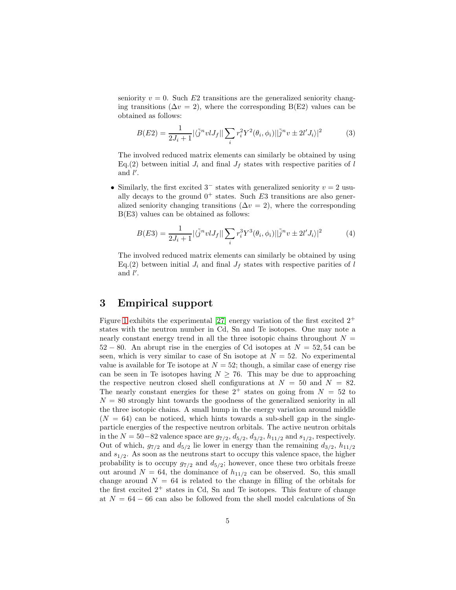seniority  $v = 0$ . Such E2 transitions are the generalized seniority changing transitions ( $\Delta v = 2$ ), where the corresponding B(E2) values can be obtained as follows:

$$
B(E2) = \frac{1}{2J_i + 1} |\langle \tilde{j}^n v l J_f || \sum_i r_i^2 Y^2(\theta_i, \phi_i) || \tilde{j}^n v \pm 2l' J_i \rangle|^2
$$
 (3)

The involved reduced matrix elements can similarly be obtained by using Eq.(2) between initial  $J_i$  and final  $J_f$  states with respective parities of l and  $\hat{l'}$ .

• Similarly, the first excited  $3^-$  states with generalized seniority  $v = 2$  usually decays to the ground  $0^+$  states. Such E3 transitions are also generalized seniority changing transitions ( $\Delta v = 2$ ), where the corresponding B(E3) values can be obtained as follows:

$$
B(E3) = \frac{1}{2J_i + 1} |\langle \tilde{j}^n v l J_f || \sum_i r_i^3 Y^3(\theta_i, \phi_i) || \tilde{j}^n v \pm 2l' J_i \rangle|^2 \tag{4}
$$

The involved reduced matrix elements can similarly be obtained by using Eq.(2) between initial  $J_i$  and final  $J_f$  states with respective parities of l and  $\hat{l'}$ .

### 3 Empirical support

Figure [1](#page-5-0) exhibits the experimental [\[27\]](#page-13-22) energy variation of the first excited  $2^+$ states with the neutron number in Cd, Sn and Te isotopes. One may note a nearly constant energy trend in all the three isotopic chains throughout  $N =$  $52 - 80$ . An abrupt rise in the energies of Cd isotopes at  $N = 52, 54$  can be seen, which is very similar to case of Sn isotope at  $N = 52$ . No experimental value is available for Te isotope at  $N = 52$ ; though, a similar case of energy rise can be seen in Te isotopes having  $N \geq 76$ . This may be due to approaching the respective neutron closed shell configurations at  $N = 50$  and  $N = 82$ . The nearly constant energies for these  $2^+$  states on going from  $N = 52$  to  $N = 80$  strongly hint towards the goodness of the generalized seniority in all the three isotopic chains. A small hump in the energy variation around middle  $(N = 64)$  can be noticed, which hints towards a sub-shell gap in the singleparticle energies of the respective neutron orbitals. The active neutron orbitals in the  $N = 50-82$  valence space are  $g_{7/2}$ ,  $d_{5/2}$ ,  $d_{3/2}$ ,  $h_{11/2}$  and  $s_{1/2}$ , respectively. Out of which,  $g_{7/2}$  and  $d_{5/2}$  lie lower in energy than the remaining  $d_{3/2}$ ,  $h_{11/2}$ and  $s_{1/2}$ . As soon as the neutrons start to occupy this valence space, the higher probability is to occupy  $g_{7/2}$  and  $d_{5/2}$ ; however, once these two orbitals freeze out around  $N = 64$ , the dominance of  $h_{11/2}$  can be observed. So, this small change around  $N = 64$  is related to the change in filling of the orbitals for the first excited  $2^+$  states in Cd, Sn and Te isotopes. This feature of change at  $N = 64 - 66$  can also be followed from the shell model calculations of Sn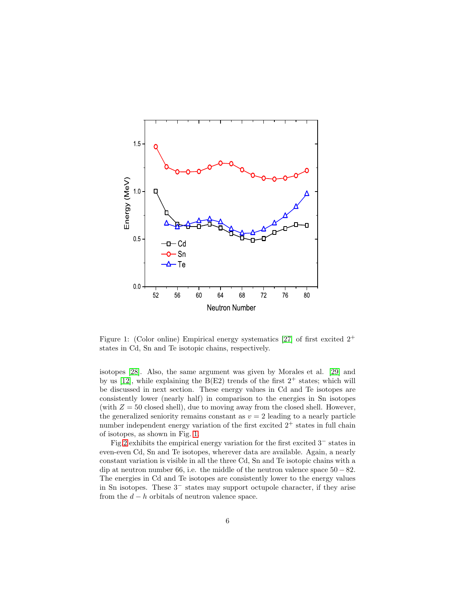

<span id="page-5-0"></span>Figure 1: (Color online) Empirical energy systematics [\[27\]](#page-13-22) of first excited  $2^+$ states in Cd, Sn and Te isotopic chains, respectively.

isotopes [\[28\]](#page-14-0). Also, the same argument was given by Morales et al. [\[29\]](#page-14-1) and by us [\[12\]](#page-13-7), while explaining the  $B(E2)$  trends of the first  $2^+$  states; which will be discussed in next section. These energy values in Cd and Te isotopes are consistently lower (nearly half) in comparison to the energies in Sn isotopes (with  $Z = 50$  closed shell), due to moving away from the closed shell. However, the generalized seniority remains constant as  $v = 2$  leading to a nearly particle number independent energy variation of the first excited  $2^+$  states in full chain of isotopes, as shown in Fig. [1.](#page-5-0)

Fig[.2](#page-6-0) exhibits the empirical energy variation for the first excited 3<sup>−</sup> states in even-even Cd, Sn and Te isotopes, wherever data are available. Again, a nearly constant variation is visible in all the three Cd, Sn and Te isotopic chains with a dip at neutron number 66, i.e. the middle of the neutron valence space  $50 - 82$ . The energies in Cd and Te isotopes are consistently lower to the energy values in Sn isotopes. These 3<sup>−</sup> states may support octupole character, if they arise from the  $d - h$  orbitals of neutron valence space.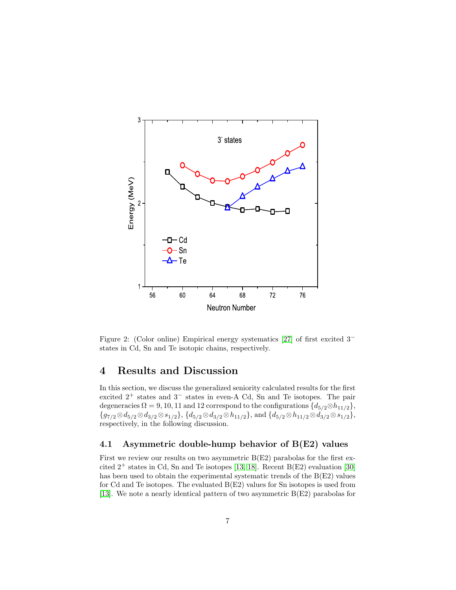

<span id="page-6-0"></span>Figure 2: (Color online) Empirical energy systematics [\[27\]](#page-13-22) of first excited 3<sup>−</sup> states in Cd, Sn and Te isotopic chains, respectively.

### 4 Results and Discussion

In this section, we discuss the generalized seniority calculated results for the first excited 2<sup>+</sup> states and 3<sup>−</sup> states in even-A Cd, Sn and Te isotopes. The pair degeneracies  $\Omega = 9, 10, 11$  and 12 correspond to the configurations  $\{d_{5/2}\otimes h_{11/2}\},$  ${g_{7/2} \otimes d_{5/2} \otimes d_{3/2} \otimes s_{1/2}}, {d_{5/2} \otimes d_{3/2} \otimes h_{11/2}}, \text{and } {d_{5/2} \otimes h_{11/2} \otimes d_{3/2} \otimes s_{1/2}},$ respectively, in the following discussion.

#### 4.1 Asymmetric double-hump behavior of B(E2) values

First we review our results on two asymmetric  $B(E2)$  parabolas for the first excited  $2^+$  states in Cd, Sn and Te isotopes [\[13,](#page-13-8) [18\]](#page-13-13). Recent B(E2) evaluation [\[30\]](#page-14-2) has been used to obtain the experimental systematic trends of the  $B(E2)$  values for Cd and Te isotopes. The evaluated B(E2) values for Sn isotopes is used from [\[13\]](#page-13-8). We note a nearly identical pattern of two asymmetric B(E2) parabolas for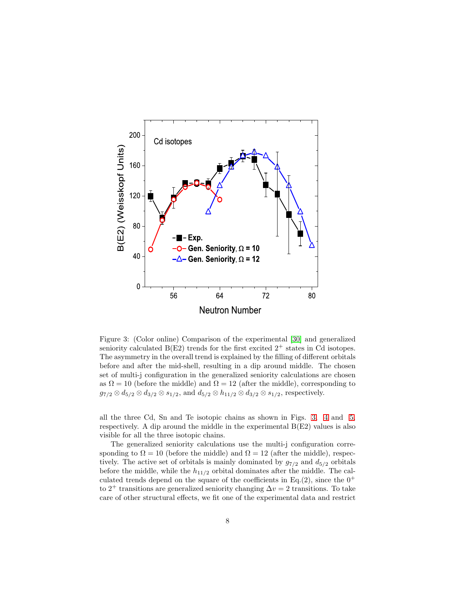

<span id="page-7-0"></span>Figure 3: (Color online) Comparison of the experimental [\[30\]](#page-14-2) and generalized seniority calculated  $B(E2)$  trends for the first excited  $2^+$  states in Cd isotopes. The asymmetry in the overall trend is explained by the filling of different orbitals before and after the mid-shell, resulting in a dip around middle. The chosen set of multi-j configuration in the generalized seniority calculations are chosen as  $\Omega = 10$  (before the middle) and  $\Omega = 12$  (after the middle), corresponding to  $g_{7/2} \otimes d_{5/2} \otimes d_{3/2} \otimes s_{1/2}$ , and  $d_{5/2} \otimes h_{11/2} \otimes d_{3/2} \otimes s_{1/2}$ , respectively.

all the three Cd, Sn and Te isotopic chains as shown in Figs. [3,](#page-7-0) [4](#page-8-0) and [5,](#page-9-0) respectively. A dip around the middle in the experimental  $B(E2)$  values is also visible for all the three isotopic chains.

The generalized seniority calculations use the multi-j configuration corresponding to  $\Omega = 10$  (before the middle) and  $\Omega = 12$  (after the middle), respectively. The active set of orbitals is mainly dominated by  $g_{7/2}$  and  $d_{5/2}$  orbitals before the middle, while the  $h_{11/2}$  orbital dominates after the middle. The calculated trends depend on the square of the coefficients in Eq.(2), since the  $0^+$ to 2<sup>+</sup> transitions are generalized seniority changing  $\Delta v = 2$  transitions. To take care of other structural effects, we fit one of the experimental data and restrict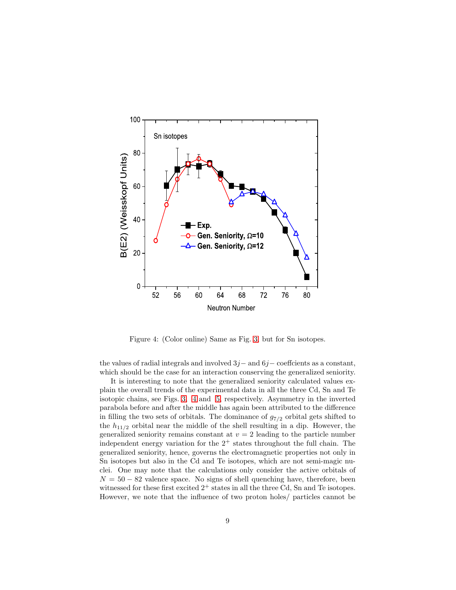

<span id="page-8-0"></span>Figure 4: (Color online) Same as Fig. [3,](#page-7-0) but for Sn isotopes.

the values of radial integrals and involved  $3j$  – and  $6j$  – coeffcients as a constant, which should be the case for an interaction conserving the generalized seniority.

It is interesting to note that the generalized seniority calculated values explain the overall trends of the experimental data in all the three Cd, Sn and Te isotopic chains, see Figs. [3,](#page-7-0) [4](#page-8-0) and [5,](#page-9-0) respectively. Asymmetry in the inverted parabola before and after the middle has again been attributed to the difference in filling the two sets of orbitals. The dominance of  $g_{7/2}$  orbital gets shifted to the  $h_{11/2}$  orbital near the middle of the shell resulting in a dip. However, the generalized seniority remains constant at  $v = 2$  leading to the particle number independent energy variation for the  $2^+$  states throughout the full chain. The generalized seniority, hence, governs the electromagnetic properties not only in Sn isotopes but also in the Cd and Te isotopes, which are not semi-magic nuclei. One may note that the calculations only consider the active orbitals of  $N = 50 - 82$  valence space. No signs of shell quenching have, therefore, been witnessed for these first excited  $2^+$  states in all the three Cd, Sn and Te isotopes. However, we note that the influence of two proton holes/ particles cannot be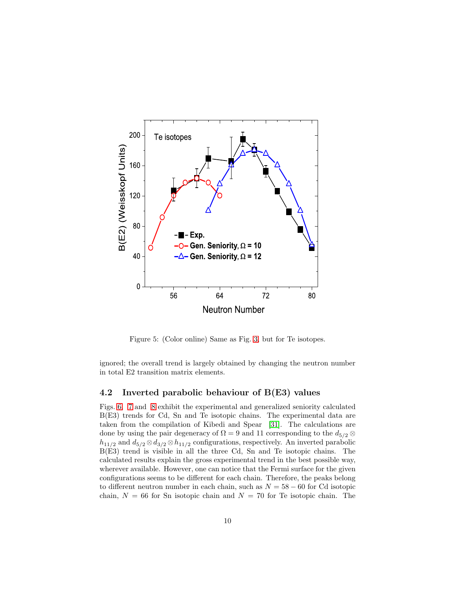

<span id="page-9-0"></span>Figure 5: (Color online) Same as Fig. [3,](#page-7-0) but for Te isotopes.

ignored; the overall trend is largely obtained by changing the neutron number in total E2 transition matrix elements.

#### 4.2 Inverted parabolic behaviour of B(E3) values

Figs. [6,](#page-10-0) [7](#page-11-0) and [8](#page-12-4) exhibit the experimental and generalized seniority calculated B(E3) trends for Cd, Sn and Te isotopic chains. The experimental data are taken from the compilation of Kibedi and Spear [\[31\]](#page-14-3). The calculations are done by using the pair degeneracy of  $\Omega = 9$  and 11 corresponding to the  $d_{5/2} \otimes$  $h_{11/2}$  and  $d_{5/2} \otimes d_{3/2} \otimes h_{11/2}$  configurations, respectively. An inverted parabolic B(E3) trend is visible in all the three Cd, Sn and Te isotopic chains. The calculated results explain the gross experimental trend in the best possible way, wherever available. However, one can notice that the Fermi surface for the given configurations seems to be different for each chain. Therefore, the peaks belong to different neutron number in each chain, such as  $N = 58 - 60$  for Cd isotopic chain,  $N = 66$  for Sn isotopic chain and  $N = 70$  for Te isotopic chain. The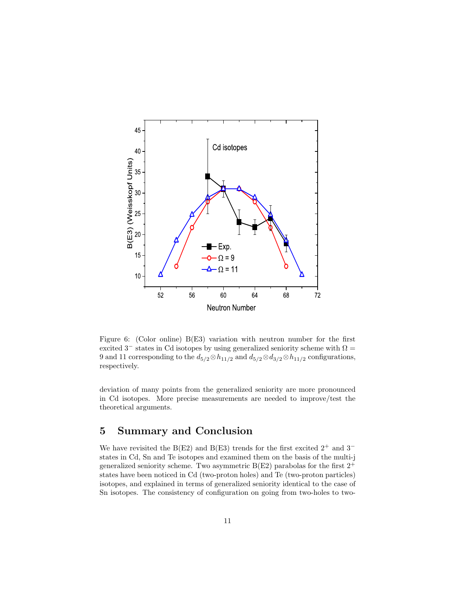

<span id="page-10-0"></span>Figure 6: (Color online) B(E3) variation with neutron number for the first excited  $3^-$  states in Cd isotopes by using generalized seniority scheme with  $\Omega =$ 9 and 11 corresponding to the  $d_{5/2} \otimes h_{11/2}$  and  $d_{5/2} \otimes d_{3/2} \otimes h_{11/2}$  configurations, respectively.

deviation of many points from the generalized seniority are more pronounced in Cd isotopes. More precise measurements are needed to improve/test the theoretical arguments.

### 5 Summary and Conclusion

We have revisited the B(E2) and B(E3) trends for the first excited  $2^+$  and  $3^$ states in Cd, Sn and Te isotopes and examined them on the basis of the multi-j generalized seniority scheme. Two asymmetric  $B(E2)$  parabolas for the first  $2^+$ states have been noticed in Cd (two-proton holes) and Te (two-proton particles) isotopes, and explained in terms of generalized seniority identical to the case of Sn isotopes. The consistency of configuration on going from two-holes to two-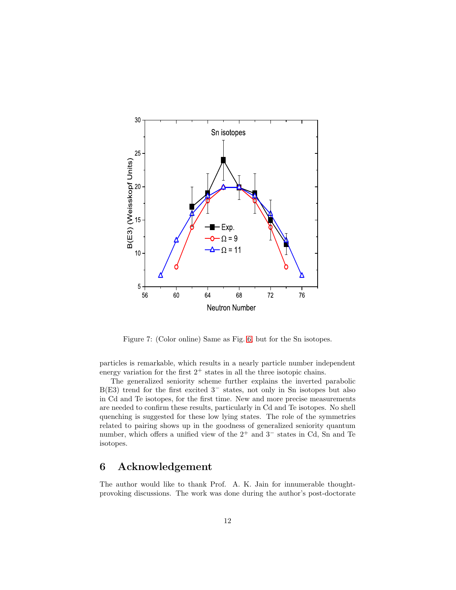

<span id="page-11-0"></span>Figure 7: (Color online) Same as Fig. [6,](#page-10-0) but for the Sn isotopes.

particles is remarkable, which results in a nearly particle number independent energy variation for the first  $2^+$  states in all the three isotopic chains.

The generalized seniority scheme further explains the inverted parabolic B(E3) trend for the first excited  $3^-$  states, not only in Sn isotopes but also in Cd and Te isotopes, for the first time. New and more precise measurements are needed to confirm these results, particularly in Cd and Te isotopes. No shell quenching is suggested for these low lying states. The role of the symmetries related to pairing shows up in the goodness of generalized seniority quantum number, which offers a unified view of the 2<sup>+</sup> and 3<sup>−</sup> states in Cd, Sn and Te isotopes.

### 6 Acknowledgement

The author would like to thank Prof. A. K. Jain for innumerable thoughtprovoking discussions. The work was done during the author's post-doctorate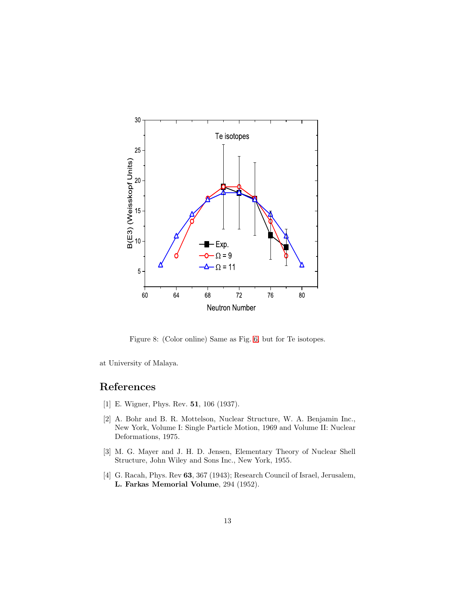

<span id="page-12-4"></span>Figure 8: (Color online) Same as Fig. [6,](#page-10-0) but for Te isotopes.

at University of Malaya.

## <span id="page-12-0"></span>References

- <span id="page-12-1"></span>[1] E. Wigner, Phys. Rev. 51, 106 (1937).
- [2] A. Bohr and B. R. Mottelson, Nuclear Structure, W. A. Benjamin Inc., New York, Volume I: Single Particle Motion, 1969 and Volume II: Nuclear Deformations, 1975.
- <span id="page-12-2"></span>[3] M. G. Mayer and J. H. D. Jensen, Elementary Theory of Nuclear Shell Structure, John Wiley and Sons Inc., New York, 1955.
- <span id="page-12-3"></span>[4] G. Racah, Phys. Rev 63, 367 (1943); Research Council of Israel, Jerusalem, L. Farkas Memorial Volume, 294 (1952).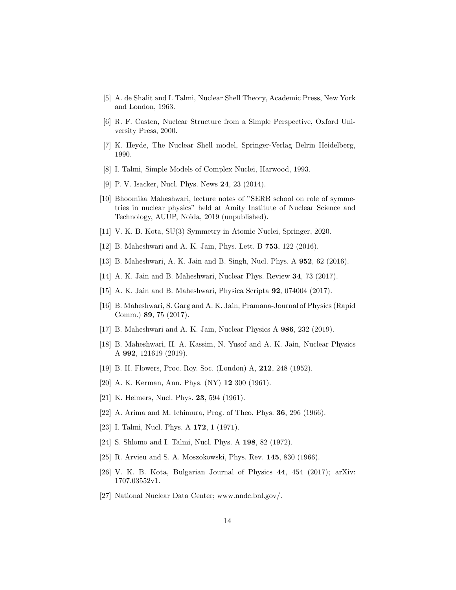- <span id="page-13-1"></span><span id="page-13-0"></span>[5] A. de Shalit and I. Talmi, Nuclear Shell Theory, Academic Press, New York and London, 1963.
- <span id="page-13-2"></span>[6] R. F. Casten, Nuclear Structure from a Simple Perspective, Oxford University Press, 2000.
- <span id="page-13-3"></span>[7] K. Heyde, The Nuclear Shell model, Springer-Verlag Belrin Heidelberg, 1990.
- <span id="page-13-4"></span>[8] I. Talmi, Simple Models of Complex Nuclei, Harwood, 1993.
- <span id="page-13-5"></span>[9] P. V. Isacker, Nucl. Phys. News 24, 23 (2014).
- [10] Bhoomika Maheshwari, lecture notes of "SERB school on role of symmetries in nuclear physics" held at Amity Institute of Nuclear Science and Technology, AUUP, Noida, 2019 (unpublished).
- <span id="page-13-7"></span><span id="page-13-6"></span>[11] V. K. B. Kota, SU(3) Symmetry in Atomic Nuclei, Springer, 2020.
- <span id="page-13-8"></span>[12] B. Maheshwari and A. K. Jain, Phys. Lett. B 753, 122 (2016).
- <span id="page-13-9"></span>[13] B. Maheshwari, A. K. Jain and B. Singh, Nucl. Phys. A 952, 62 (2016).
- <span id="page-13-10"></span>[14] A. K. Jain and B. Maheshwari, Nuclear Phys. Review 34, 73 (2017).
- <span id="page-13-11"></span>[15] A. K. Jain and B. Maheshwari, Physica Scripta 92, 074004 (2017).
- [16] B. Maheshwari, S. Garg and A. K. Jain, Pramana-Journal of Physics (Rapid Comm.) 89, 75 (2017).
- <span id="page-13-13"></span><span id="page-13-12"></span>[17] B. Maheshwari and A. K. Jain, Nuclear Physics A 986, 232 (2019).
- [18] B. Maheshwari, H. A. Kassim, N. Yusof and A. K. Jain, Nuclear Physics A 992, 121619 (2019).
- <span id="page-13-15"></span><span id="page-13-14"></span>[19] B. H. Flowers, Proc. Roy. Soc. (London) A, 212, 248 (1952).
- <span id="page-13-16"></span>[20] A. K. Kerman, Ann. Phys. (NY) 12 300 (1961).
- <span id="page-13-17"></span>[21] K. Helmers, Nucl. Phys. **23**, 594 (1961).
- <span id="page-13-18"></span>[22] A. Arima and M. Ichimura, Prog. of Theo. Phys. 36, 296 (1966).
- <span id="page-13-19"></span>[23] I. Talmi, Nucl. Phys. A **172**, 1 (1971).
- <span id="page-13-20"></span>[24] S. Shlomo and I. Talmi, Nucl. Phys. A 198, 82 (1972).
- <span id="page-13-21"></span>[25] R. Arvieu and S. A. Moszokowski, Phys. Rev. 145, 830 (1966).
- <span id="page-13-22"></span>[26] V. K. B. Kota, Bulgarian Journal of Physics 44, 454 (2017); arXiv: 1707.03552v1.
- [27] National Nuclear Data Center; www.nndc.bnl.gov/.